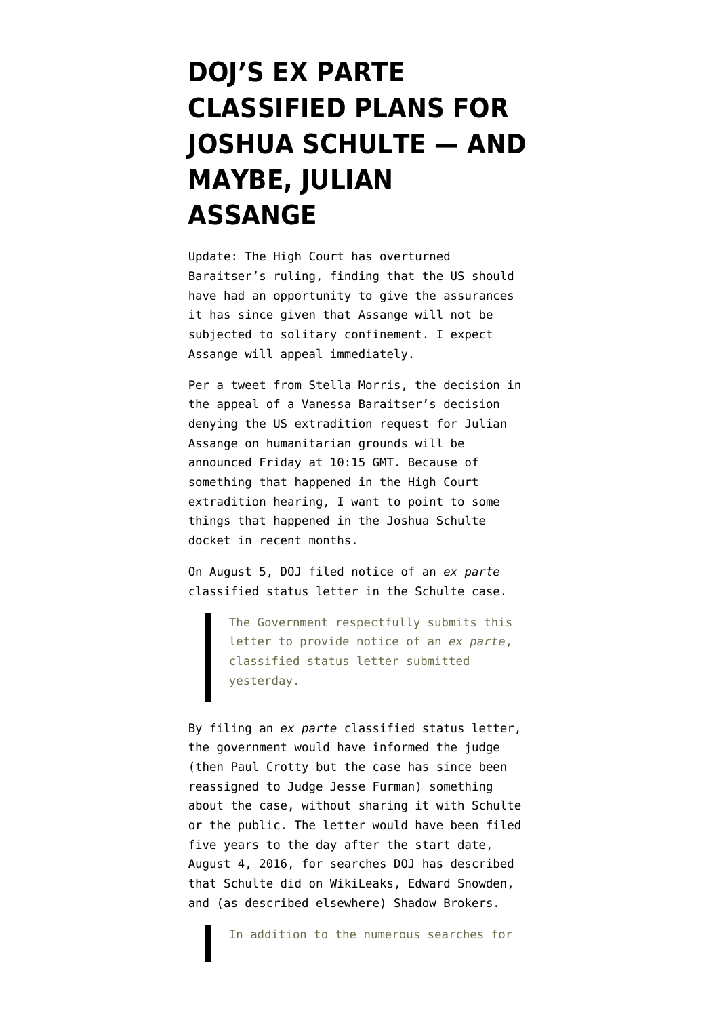## **[DOJ'S EX PARTE](https://www.emptywheel.net/2021/12/09/dojs-ex-parte-classified-plans-for-joshua-schulte-and-maybe-julian-assange/) [CLASSIFIED PLANS FOR](https://www.emptywheel.net/2021/12/09/dojs-ex-parte-classified-plans-for-joshua-schulte-and-maybe-julian-assange/) [JOSHUA SCHULTE — AND](https://www.emptywheel.net/2021/12/09/dojs-ex-parte-classified-plans-for-joshua-schulte-and-maybe-julian-assange/) [MAYBE, JULIAN](https://www.emptywheel.net/2021/12/09/dojs-ex-parte-classified-plans-for-joshua-schulte-and-maybe-julian-assange/) [ASSANGE](https://www.emptywheel.net/2021/12/09/dojs-ex-parte-classified-plans-for-joshua-schulte-and-maybe-julian-assange/)**

Update: The High Court [has overturned](https://www.judiciary.uk/wp-content/uploads/2021/12/USA-v-Assange-judgment101221.pdf) Baraitser's ruling, finding that the US should have had an opportunity to give the assurances it has since given that Assange will not be subjected to solitary confinement. I expect Assange will appeal immediately.

Per [a tweet from Stella Morris,](https://twitter.com/StellaMoris1/status/1468963797406662656) the decision in the appeal of a Vanessa Baraitser's decision denying the US extradition request for Julian Assange on humanitarian grounds will be announced Friday at 10:15 GMT. Because of something that happened in the High Court extradition hearing, I want to point to some things that happened in the Joshua Schulte docket in recent months.

On August 5, DOJ [filed notice](https://storage.courtlistener.com/recap/gov.uscourts.nysd.480183/gov.uscourts.nysd.480183.492.0.pdf) of an *ex parte* classified status letter in the Schulte case.

> The Government respectfully submits this letter to provide notice of an *ex parte*, classified status letter submitted yesterday.

By filing an *ex parte* classified status letter, the government would have informed the judge (then Paul Crotty but the case has since been reassigned to Judge Jesse Furman) something about the case, without sharing it with Schulte or the public. The letter would have been filed five years to the day after the start date, August 4, 2016, for searches DOJ [has described](https://storage.courtlistener.com/recap/gov.uscourts.nysd.480183/gov.uscourts.nysd.480183.111.3.pdf#page=150) that Schulte did on WikiLeaks, Edward Snowden, and [\(as described elsewhere](https://storage.courtlistener.com/recap/gov.uscourts.nysd.480183/gov.uscourts.nysd.480183.195.0.pdf)) Shadow Brokers.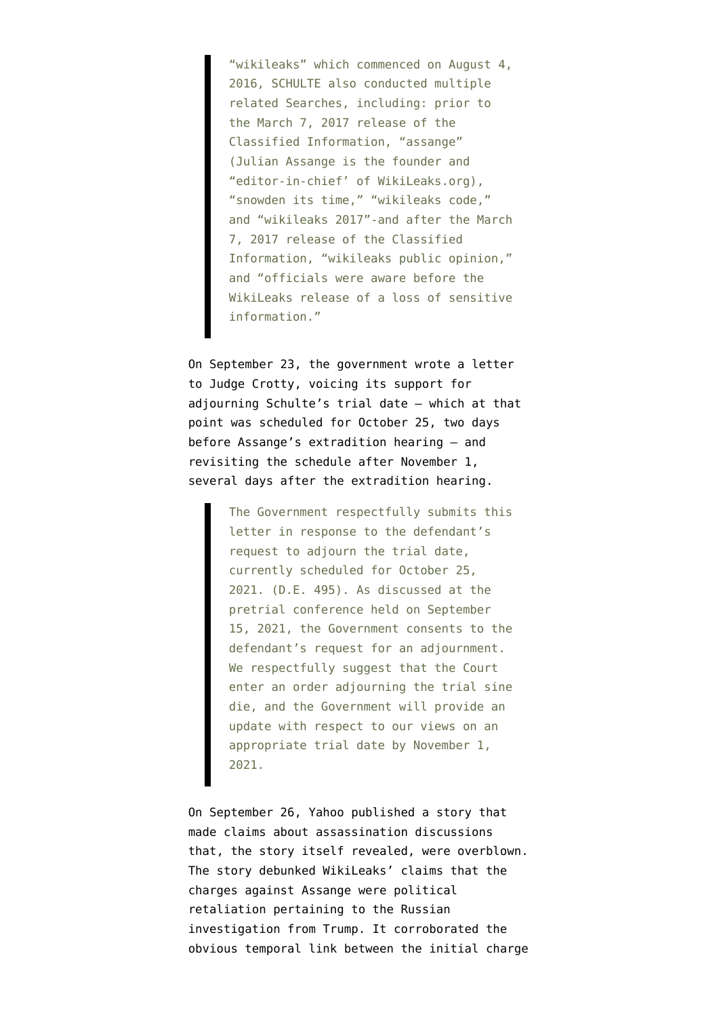"wikileaks" which commenced on August 4, 2016, SCHULTE also conducted multiple related Searches, including: prior to the March 7, 2017 release of the Classified Information, "assange" (Julian Assange is the founder and "editor-in-chief' of WikiLeaks.org), "snowden its time," "wikileaks code," and "wikileaks 2017"-and after the March 7, 2017 release of the Classified Information, "wikileaks public opinion," and "officials were aware before the WikiLeaks release of a loss of sensitive information."

On September 23, the government [wrote a letter](https://storage.courtlistener.com/recap/gov.uscourts.nysd.480183/gov.uscourts.nysd.480183.516.0.pdf) to Judge Crotty, voicing its support for adjourning Schulte's trial date — which at that point was scheduled for October 25, two days before Assange's extradition hearing — and revisiting the schedule after November 1, several days after the extradition hearing.

> The Government respectfully submits this letter in response to the defendant's request to adjourn the trial date, currently scheduled for October 25, 2021. (D.E. 495). As discussed at the pretrial conference held on September 15, 2021, the Government consents to the defendant's request for an adjournment. We respectfully suggest that the Court enter an order adjourning the trial sine die, and the Government will provide an update with respect to our views on an appropriate trial date by November 1, 2021.

On September 26, Yahoo [published a story](https://www.emptywheel.net/2021/09/26/the-yahoo-story-about-all-the-things-cia-wasnt-allowed-to-do-against-wikileaks/) that made claims about assassination discussions that, the story itself revealed, were overblown. The story debunked WikiLeaks' claims that the charges against Assange were political retaliation pertaining to the Russian investigation from Trump. It corroborated the obvious temporal link between the initial charge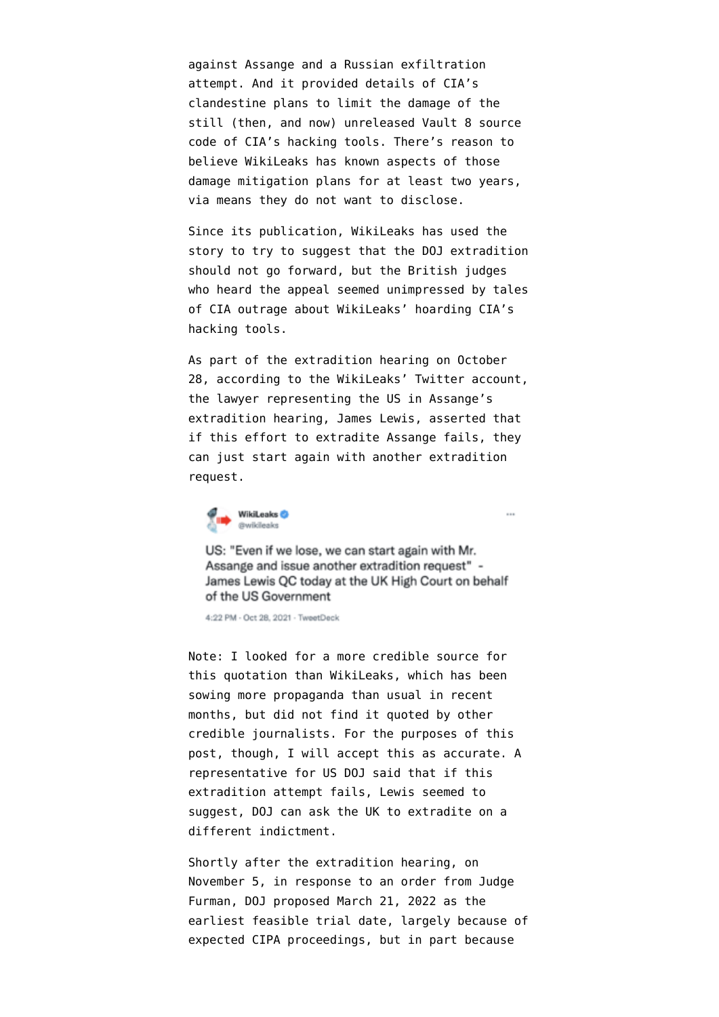against Assange and a Russian exfiltration attempt. And it provided details of CIA's clandestine plans to limit the damage of the still (then, and now) unreleased Vault 8 source code of CIA's hacking tools. There's reason to believe WikiLeaks has known aspects of those damage mitigation plans for at least two years, via means they do not want to disclose.

Since its publication, WikiLeaks has used the story to try to suggest that the DOJ extradition should not go forward, but the British judges who heard the appeal seemed unimpressed by tales of CIA outrage about WikiLeaks' hoarding CIA's hacking tools.

As part of the extradition hearing on October 28, according to the [WikiLeaks' Twitter account,](https://twitter.com/wikileaks/status/1453744110154694656) the lawyer representing the US in Assange's extradition hearing, James Lewis, asserted that if this effort to extradite Assange fails, they can just start again with another extradition request.



US: "Even if we lose, we can start again with Mr. Assange and issue another extradition request" -James Lewis QC today at the UK High Court on behalf of the US Government

 $\sim$ 

4:22 PM - Oct 28, 2021 - TweetDeck

Note: I looked for a more credible source for this quotation than WikiLeaks, which has been sowing more propaganda than usual in recent months, but did not find it quoted by other credible journalists. For the purposes of this post, though, I will accept this as accurate. A representative for US DOJ said that if this extradition attempt fails, Lewis seemed to suggest, DOJ can ask the UK to extradite on a different indictment.

Shortly after the extradition hearing, on November 5, in response to [an order](https://storage.courtlistener.com/recap/gov.uscourts.nysd.480183/gov.uscourts.nysd.480183.570.0.pdf) from Judge Furman, DOJ [proposed](https://storage.courtlistener.com/recap/gov.uscourts.nysd.480183/gov.uscourts.nysd.480183.579.0.pdf) March 21, 2022 as the earliest feasible trial date, largely because of expected CIPA proceedings, but in part because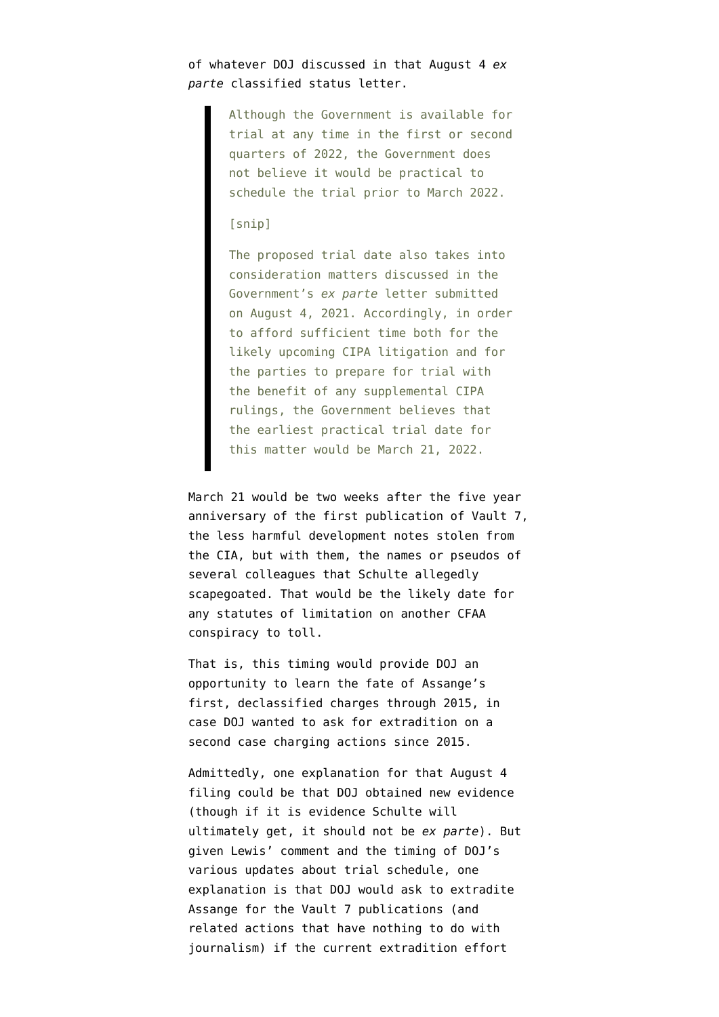## of whatever DOJ discussed in that August 4 *ex parte* classified status letter.

Although the Government is available for trial at any time in the first or second quarters of 2022, the Government does not believe it would be practical to schedule the trial prior to March 2022.

## [snip]

The proposed trial date also takes into consideration matters discussed in the Government's *ex parte* letter submitted on August 4, 2021. Accordingly, in order to afford sufficient time both for the likely upcoming CIPA litigation and for the parties to prepare for trial with the benefit of any supplemental CIPA rulings, the Government believes that the earliest practical trial date for this matter would be March 21, 2022.

March 21 would be two weeks after the five year anniversary of the first publication of Vault 7, the less harmful development notes stolen from the CIA, but with them, the names or pseudos of several colleagues that Schulte allegedly scapegoated. That would be the likely date for any statutes of limitation on another CFAA conspiracy to toll.

That is, this timing would provide DOJ an opportunity to learn the fate of Assange's first, declassified charges through 2015, in case DOJ wanted to ask for extradition on a second case charging actions since 2015.

Admittedly, one explanation for that August 4 filing could be that DOJ obtained new evidence (though if it is evidence Schulte will ultimately get, it should not be *ex parte*). But given Lewis' comment and the timing of DOJ's various updates about trial schedule, one explanation is that DOJ would ask to extradite Assange for the Vault 7 publications (and related actions that have nothing to do with journalism) if the current extradition effort